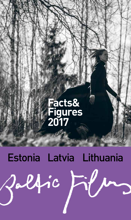## **Facts& Figures 2017**

# Estonia Latvia Lithuania<br>Pallinc Film

Jalfic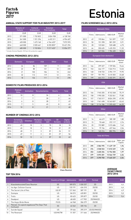## **Figures 2017**

#### **ANNUAL STATE SUPPORT FOR FILM INDUSTRY 2013-2017**

|      | Ministry of<br>Culture | Cultural<br><b>Endowment</b> | <b>Estonian</b><br><b>Film Institute</b> | Total      |
|------|------------------------|------------------------------|------------------------------------------|------------|
|      | <b>EUR</b>             | <b>EUR</b>                   | <b>EUR</b>                               | <b>EUR</b> |
| 2013 | 571 000                | 1 732 822                    | 3824938                                  | 6 128 760  |
| 2014 | 341 000                | 1921296                      | 4692311                                  | 6954607    |
| 2015 | 635 000                | 1 673 160                    | 4 764 433*                               | 7072593    |
| 2016 | 640 000                | 2035461                      | 8 255 855*                               | 10 421 294 |
| 2017 | 685 000                | 2 153 824                    | 9 217 453*                               | 12 056 277 |

\* Includes Estonian Republic 100 Years film production support

#### **CINEMA PREMIERES 2012-2016**

|      | <b>Domestic</b> | <b>European</b> | <b>USA</b> | <b>Other</b> | <b>Total</b> |
|------|-----------------|-----------------|------------|--------------|--------------|
| 2012 | 24              | 86              | 109        | 9            | 228          |
| 2013 | 22              | 80              | 121        | 12           | 235          |
| 2014 | 21              | 103             | 106        | 13           | 243          |
| 2015 | 32              | 113             | 119        | 12           | 276          |
| 2016 | 18              | 136             | 111        | 13           | 278          |

#### **DOMESTIC FILMS PRODUCED 2012-2016**

|      | Feature,<br>films | Animation | <b>Documentaries</b> | <b>Shorts</b> | <b>Total</b> |
|------|-------------------|-----------|----------------------|---------------|--------------|
| 2012 | 10                | 8         | 34                   | 4             | 56           |
| 2013 | 7                 | 7         | 30                   | າ             |              |
| 2014 | 6                 | 8         | 28                   | 7             | 49           |
| 2015 | 7                 | 5         | 43                   | 8             |              |
| 2016 | 10                | 8         | 21                   |               |              |

#### **NUMBER OF CINEMAS 2012-2016**

|      | Screening<br>places (all) | <b>Cinemas</b> | <b>Multiplex</b><br>cinemas. | Screens,<br>(all) | 3D<br><b>Screens</b> | <b>Digital</b><br>screens |
|------|---------------------------|----------------|------------------------------|-------------------|----------------------|---------------------------|
| 2012 | 45                        | 10             | 3                            | 70                | 18                   | 18                        |
| 2013 | 45                        | 10             | 3                            | 70                | 21                   | 29                        |
| 2014 | 48                        | 11             | 3                            | 81                | 26                   | 51                        |
| 2015 | 49                        | 11             | 3                            | 81                | 27                   | 56                        |
| 2016 | 50                        | 12             | 4                            | 87                | 33                   | 62                        |



Class Reunion

#### **TOP TEN 2016**

|                         | <b>Title</b>                                           | <b>Country of Origin Admissions</b> |         | <b>GBO EUR</b> | Format       |
|-------------------------|--------------------------------------------------------|-------------------------------------|---------|----------------|--------------|
|                         | Klassikokkutulek/Class Reunion                         | <b>EE</b>                           | 189 073 | 1 030 257      | 2D           |
| $\overline{\mathbf{c}}$ | Ice Age: Collision Course                              | US                                  | 133 191 | 634 310        | 2D/3D        |
| 3                       | The Secret Life of Pets                                | US/JP                               | 121 563 | 587 191        | 3D           |
| 4                       | Zootopia                                               | US                                  | 84 015  | 420851         | 2D/3D        |
| 5                       | Trolls                                                 | US                                  | 83 623  | 395 877        | 2D/3D        |
| 6                       | Deadpool                                               | US                                  | 68 650  | 417 902        | 2D/IMAX2D    |
| 7                       | The Angry Birds Movie                                  | FI/US                               | 66 968  | 306 379        | 2D/3D        |
| $\mathsf{R}$            | Päevad, mis ajasid segadusse/The Days That<br>Confused | <b>EE</b>                           | 62 262  | 335 154        | 2D           |
| 9                       | Suicide Squad                                          | US                                  | 59466   | 395319         | 2D/3D/IMAX3D |
| 10                      | The Revenant                                           | US/HK/TW                            | 51 357  | 311 666        | 2D/IMAX2D    |

# Facts&<br>Figures<br>2017

#### **FILMS SCREENED (all) 2012-2016**

|      | <b>Domestic films</b> |            |                |                 |  |  |  |
|------|-----------------------|------------|----------------|-----------------|--|--|--|
|      | Films                 | Admissions | <b>GBO EUR</b> | Market<br>share |  |  |  |
| 2012 | 49                    | 195844     | 761 097        | 7.57            |  |  |  |
| 2013 | 50                    | 151 398    | 581 259        | 5,91            |  |  |  |
| 2014 | 28                    | 123 065    | 520 488        | 4,73            |  |  |  |
| 2015 | 64                    | 350 635    | 1 435 253      | 11,33           |  |  |  |
| 2016 | 21                    | 347 036    | 1784 600       | 10.54           |  |  |  |

|       | European (non-domestic) |                               |                |                        |  |  |  |
|-------|-------------------------|-------------------------------|----------------|------------------------|--|--|--|
|       | Films                   | Admissions                    | <b>GBO EUR</b> | Market<br>share        |  |  |  |
| 2012  | 166                     | 399 327                       | 1 739 504      | 15,44                  |  |  |  |
| 2013  | 153                     | 346 177                       | 1524913        | 13,53                  |  |  |  |
| 2014  | 148                     | 518 733                       | 2 3 9 4 1 1 9  | 19.95                  |  |  |  |
| 2015  | 159                     | 701 793                       | 3 410 303      | 22.68                  |  |  |  |
| 2016  | 199                     | 664 212                       | 3 402 291      | 20,19                  |  |  |  |
|       |                         | <b>USA</b>                    |                |                        |  |  |  |
|       | Films                   | Admissions                    | <b>GBO EUR</b> | Market<br>share        |  |  |  |
| 2012  | 166                     | 1945205                       | 8743348        | 75,19                  |  |  |  |
| 2013  | 158                     | 1990330                       | 9 332 041      | 77,80                  |  |  |  |
| 2014  | 157                     | 1765517                       | 8824290        | 67,90                  |  |  |  |
| 2015  | 140                     | 1961698                       | 10 263 837     | 63.43                  |  |  |  |
| 2016  | 138                     | 2 114 186                     | 11 595 452     | 64,25                  |  |  |  |
|       |                         | <b>Other</b>                  |                |                        |  |  |  |
|       | Films                   | Admissions                    | <b>GBO EUR</b> | Market<br>share        |  |  |  |
| 2012  | 14                      | 46 619                        | 185 189        | 1,80                   |  |  |  |
| 0.010 | $\sim$                  | $\overline{p}$ $\overline{p}$ | 0.70.447       | $\sim$ $\sim$ $\prime$ |  |  |  |

| 2012            | 14 | 46 619  | 185 189 | 1,80 |  |
|-----------------|----|---------|---------|------|--|
| 2013            | 15 | 70 648  | 372 117 | 2,76 |  |
| 2014            | 20 | 192889  | 1015686 | 7.42 |  |
| 2015            | 16 | 79 156  | 457346  | 2.56 |  |
| 2016            | 19 | 165 316 | 882 994 | 5.02 |  |
| Total All Filme |    |         |         |      |  |

|      | Films | Admissions | <b>GBO EUR</b> | Adm. per<br>Capita |  |  |  |
|------|-------|------------|----------------|--------------------|--|--|--|
| 2012 | 395   | 2586995    | 11 429 139     | 1,96               |  |  |  |
| 2013 | 376   | 2 558 553  | 11810329       | 1,93               |  |  |  |
| 2014 | 353   | 2 600 204  | 12 754 583     | 1.97               |  |  |  |
| 2015 | 379   | 3093281    | 15 566 739     | 2,36               |  |  |  |
| 2016 | 377   | 3 290 750  | 17 665 337     | 2.54               |  |  |  |

#### **AVERAGE TICKET PRICE 2012-2016**

|      | <b>EUR</b> |
|------|------------|
| 2012 | 4,4        |
| 2013 | 4.6        |
| 2014 | 4.9        |
| 2015 | 5,0        |
| 2016 | 5.4        |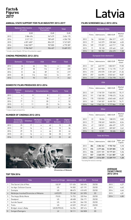## **Figures 2017**

#### **ANNUAL STATE SUPPORT FOR FILM INDUSTRY 2013-2017**

|      | <b>National Film Centre</b><br>of Latvia | <b>Culture Capital</b><br><b>Foundation</b> | <b>Total</b> |
|------|------------------------------------------|---------------------------------------------|--------------|
|      | <b>EUR</b>                               | <b>EUR</b>                                  | <b>EUR</b>   |
| 2013 | 2086496                                  | 567 679                                     | 2654175      |
| 2014 | 3 517 121                                | 789 609                                     | 4 306 730    |
| 2015 | 4891600*                                 | 856 229                                     | 5747829      |
| 2016 | 5862587*                                 | 907800                                      | 6770387      |
| 2017 | 9784965*                                 | 904 407                                     | 10 689 372   |

\* Includes Latvian Republic 100 Years film production support

#### **CINEMA PREMIERES 2012-2016**

|      | <b>Domestic</b> | <b>European</b> | <b>USA</b> | <b>Other</b> | <b>Total</b> |
|------|-----------------|-----------------|------------|--------------|--------------|
| 2012 | 24              | 66              | 106        | 4            | 200          |
| 2013 | 27              | 50              | 116        | 27           | 220          |
| 2014 | 51              | 66              | 89         | 13           | 219          |
| 2015 | 25              | 116             | 133        | 16           | 291          |
| 2016 | 18              | 92              | 123        | 9            | 242          |

#### **DOMESTIC FILMS PRODUCED 2012-2016**

|      | <b>Feature</b><br>films | Animation | <b>Documentaries</b> | <b>Shorts</b> | <b>Total</b> |
|------|-------------------------|-----------|----------------------|---------------|--------------|
| 2012 | 6                       | 8         | 8                    |               | 24           |
| 2013 | 4                       | 3         | 18                   | ◠             | 27           |
| 2014 | 7*                      |           | 30                   | 4             | 52           |
| 2015 | 3                       |           | 23                   | 16            | 56           |
| 2016 | -                       | b         | 23                   | 6             | 42           |

\* 2 feature length animated films

#### **NUMBER OF CINEMAS 2012-2016**

|      | Screening<br>places (all) | <b>Cinemas</b> | <b>Multiplex</b><br>cinemas. | Screens,<br>(all) | 3D<br>Screens | <b>Digital</b><br>screens |
|------|---------------------------|----------------|------------------------------|-------------------|---------------|---------------------------|
| 2012 | 25                        | 17             | 4                            | 62                | 15            | 28                        |
| 2013 | 32                        | 14             | 4                            | 66                | 15            | 36                        |
| 2014 | 29                        | 15             | 4                            | 64                | 25            | 44                        |
| 2015 | 22                        | 16             | 4                            | 58                | 25            | 57                        |
| 2016 | 25                        | 18             | 4                            | 62                | 25            | 60                        |



| <b>Chronicles of Melanie</b> |  |  |
|------------------------------|--|--|

#### **TOP TEN 2016**

|                | <b>Title</b>                            | <b>Country of Origin Admissions</b> |         | <b>GBO EUR</b> | Format |
|----------------|-----------------------------------------|-------------------------------------|---------|----------------|--------|
|                | The Secret Life of Pets                 | US/JP                               | 121 426 | 540 494        | 2D/3D  |
| $\overline{2}$ | Ice Age: Collision Course               | US                                  | 94 502  | 421 191        | 2D/3D  |
| 3              | Zootopia                                | US                                  | 88 673  | 410 492        | 2D/3D  |
| $\overline{4}$ | Melānijas hronika/Chronicles of Melanie | LV/CZ/FI                            | 75 160  | 241 595        | 2D     |
| 5              | The Angry Birds Movie                   | FI/US                               | 74 753  | 320 946        | 2D/3D  |
| 6              | Deadpool                                | US                                  | 68 408  | 336 171        | 2D/3D  |
| 7              | Suicide Squad                           | US                                  | 64 230  | 366 155        | 2D/3D  |
| 8              | Trolls                                  | US                                  | 63329   | 292 421        | 2D/3D  |
| 9              | <b>Bridget Jones's Baby</b>             | UK/IE/FR/US                         | 54 256  | 287 414        | 2D     |
| 10             | Svingeri/Swingers                       | LV                                  | 50 111  | 262828         | 2D     |

# Facts&<br>Figures<br>2017

#### **FILMS SCREENED (all) 2012-2016**

| <b>Domestic films</b> |       |            |                |                 |  |  |
|-----------------------|-------|------------|----------------|-----------------|--|--|
|                       | Films | Admissions | <b>GBO EUR</b> | Market<br>share |  |  |
| 2012                  | 56    | 103 040    | 284 317        | 4,51            |  |  |
| 2013                  | 97    | 143 379    | 228 368        | 6,03            |  |  |
| 2014                  | 109   | 175 207    | 443717         | 7.58            |  |  |
| 2015                  | 91    | 90 1 28    | 239 465        | 3,81            |  |  |
| 2016                  | 33    | 185 782    | 656 670        | 7,38            |  |  |

| European (non-domestic) |       |              |                |                 |  |  |
|-------------------------|-------|--------------|----------------|-----------------|--|--|
|                         | Films | Admissions   | <b>GBO EUR</b> | Market<br>share |  |  |
| 2012                    | 157   | 445 919      | 1802817        | 19,50           |  |  |
| 2013                    | 231   | 267 900      | 1 114 170      | 11,27           |  |  |
| 2014                    | 210   | 493 570      | 2 201 469      | 21,36           |  |  |
| 2015                    | 257   | 446894       | 2022661        | 18,87           |  |  |
| 2016                    | 117   | 357 470      | 1724778        | 14,21           |  |  |
|                         |       | <b>USA</b>   |                |                 |  |  |
|                         |       |              |                |                 |  |  |
|                         | Films | Admissions   | <b>GBO EUR</b> | Market<br>share |  |  |
| 2012                    | 149   | 1718729      | 7560592        | 75,17           |  |  |
| 2013                    | 191   | 1768158      | 7998473        | 74,36           |  |  |
| 2014                    | 170   | 1 503 833    | 6845648        | 65,07           |  |  |
| 2015                    | 165   | 1769337      | 8 690 753      | 74.71           |  |  |
| 2016                    | 146   | 1962126      | 9777866        | 77,98           |  |  |
|                         |       | <b>Other</b> |                |                 |  |  |

|      | Films | Admissions | GBO EUR | share |
|------|-------|------------|---------|-------|
| 2012 | 22    | 18 654     | 108 015 | 0,82  |
| 2013 | 77    | 198 249    | 968 874 | 8.34  |
| 2014 | 47    | 138 521    | 686 497 | 5.99  |
| 2015 | 45    | 62019      | 289 007 | 2,62  |
| 2016 | 13    | 10881      | 50 40 6 | 0.43  |
|      |       |            |         |       |

| <b>Total All Films</b> |        |               |                |                    |  |  |
|------------------------|--------|---------------|----------------|--------------------|--|--|
|                        | Films  | Admissions    | <b>GBO EUR</b> | Adm. per<br>Capita |  |  |
| 2012                   | 384    | 2 2 8 4 3 4 2 | 9755740        | 1,13               |  |  |
| 2013                   | 596    | 2377686       | 10 309 885     | 1,18               |  |  |
| 2014                   | 536    | 2311131       | 10 177 331     | 1,16               |  |  |
| 2015                   | 557    | 2 3 6 8 3 7 8 | 11 241 887     | 1,20               |  |  |
| 2016                   | $309*$ | 2516259       | 12 209 719     | 1.28               |  |  |

\* Excluding film festival screenings

#### **AVERAGE TICKET PRICE 2012-2016**

|      | EUR  |
|------|------|
| 2012 | 4,27 |
| 2013 | 4.42 |
| 2014 | 4.64 |
| 2015 | 4.81 |
| 2016 | 4.85 |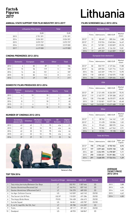## **Figures 2017**

#### **ANNUAL STATE SUPPORT FOR FILM INDUSTRY 2013-2017**

|      | Lithuanian Film Centre | <b>Total</b>  |
|------|------------------------|---------------|
|      | <b>EUR</b>             | <b>EUR</b>    |
| 2013 | 2 751 391              | 2 751 391     |
| 2014 | 3 0 2 4 5 0 1          | 3 0 2 4 5 0 1 |
| 2015 | 3073737                | 3073737       |
| 2016 | 3519000                | 3519000       |
| 2017 | 4619000                | 4619000       |

#### **CINEMA PREMIERES 2012-2016**

|      | <b>Domestic</b> | <b>European</b> | <b>USA</b> | <b>Other</b> | <b>Total</b> |
|------|-----------------|-----------------|------------|--------------|--------------|
| 2012 | 6               | 82              | 89         | 9            | 186          |
| 2013 | 15              | 56              | 119        | 5            | 195          |
| 2014 | 14              | 66              | 101        | 6            | 187          |
| 2015 | 10              | 82              | 112        | 8            | 212          |
| 2016 | 13              | 69              | 128        | 7            | 217          |

#### **DOMESTIC FILMS PRODUCED 2012-2016**

|      | Feature<br>films | Animation | <b>Documentaries</b> | <b>Shorts</b> | <b>Total</b> |
|------|------------------|-----------|----------------------|---------------|--------------|
| 2012 | 4                | 10        | 18                   |               | 33           |
| 2013 | 11               | 7         | 17                   | 5             | 40           |
| 2014 | 8                | 7         | 18                   | 7             | 40           |
| 2015 | 11               | 4         | 11                   | $\circ$       | 35           |
| 2016 | 21               | 10        | 18                   | O             | 58           |

#### **NUMBER OF CINEMAS 2012-2016**

|      | Screening<br>places (all) | <b>Cinemas</b> | Multiplex,<br>cinemas | Screens<br>(all) | 3D<br><b>Screens</b> | <b>Digital</b><br>screens. |
|------|---------------------------|----------------|-----------------------|------------------|----------------------|----------------------------|
| 2012 | 42                        | 42             | 9                     | 95               | n/a                  | 21                         |
| 2013 | 42                        | 32             | 10                    | 95               | n/a                  | 44                         |
| 2014 | 42                        | 32             | 10                    | 95               | n/a                  | 44                         |
| 2015 | 42                        | 32             | 10                    | 95               | n/a                  | 44                         |
| 2016 | 39                        | 29             | 10                    | 79               | 25                   | 54                         |



# Facts&<br>Figures **Lithuania**

#### **FILMS SCREENED (all) 2012-2016**

| Domestic films |            |                |                 |  |
|----------------|------------|----------------|-----------------|--|
| Films          | Admissions | <b>GBO EUR</b> | Market<br>share |  |
| 10             | 80 469     | 285 244        | 2,88            |  |
| 17             | 510 924    | 2045844        | 16,49           |  |
| 21             | 747 001    | 3 333 829      | 23,18           |  |
| 21             | 465370     | 2 126 232      | 13.81           |  |
| 17             | 699 207    | 3 463 809      | 19.50           |  |
|                |            |                |                 |  |

| European (non-domestic) |       |            |                |                 |  |
|-------------------------|-------|------------|----------------|-----------------|--|
|                         | Films | Admissions | <b>GBO EUR</b> | Market<br>share |  |
| 2012*                   | 82    | 553 719    | 2 127 264      | 17,88           |  |
| 2013*                   | 56    | 409 504    | 1631716        | 13,22           |  |
| 2014                    | 104   | 443 269    | 1994111        | 13,90           |  |
| 2015                    | 118   | 638 345    | 2740575        | 17,80           |  |
| 2016                    | 104   | 336 493    | 1509654        | 8,50            |  |
|                         | USA   |            |                |                 |  |
|                         | Films | Admissions | <b>GBO EUR</b> | Market<br>share |  |
| 2012*                   | 89    | 2 121 490  | 8 326 559      | 75,92           |  |
| 2013*                   | 119   | 2 145 777  | 8709308        | 69,27           |  |
| 2014                    | 130   | 1944 680   | 8 670 077      | 60,28           |  |
| 2015                    | 135   | 2 132 821  | 10 077 136     | 65,48           |  |
| 2016                    | 162   | 2 613 001  | 12 671 608     | 71,50           |  |
| <b>Other</b>            |       |            |                |                 |  |
|                         | Films | Admissions | <b>GBO EUR</b> | Market<br>share |  |
| 2012*                   | 9     | 38762      | 144 142        | 1,39            |  |
| 2013*                   | 5     | 31 478     | 120 006        | 1,02            |  |
| 2014                    | 6     | 99 645     | 380 570        | 2,64            |  |

| <b>Total All Films</b> |       |            |                |                    |
|------------------------|-------|------------|----------------|--------------------|
|                        | Films | Admissions | <b>GBO EUR</b> | Adm. per<br>Capita |
| 2012*                  | 190   | 2794440    | 8755945        | 0,93               |
| 2013*                  | 197   | 3097683    | 10875158       | 1,05               |
| 2014                   | 261   | 3 234 595  | 14 378 587     | 1,11               |
| 2015                   | 290   | 3 330 451  | 15 391 806     | 1,13               |
| 2016                   | 291   | 3668370    | 17 724 516     | 1.29               |

2015 16 93 982 447 963 2,91 2016 8 19 576 79 198 0,50

\* Only premieres

#### **AVERAGE TICKET PRICE 2012-2016**

| <b>TOP TEN 2016</b> |
|---------------------|
|---------------------|

|                | <b>Title</b>                         | <b>Country of Origin Admissions</b> |         | <b>GBO EUR</b> | Format |
|----------------|--------------------------------------|-------------------------------------|---------|----------------|--------|
|                | Tarp müsu berniuku/Between Our Boys  | LT                                  | 202 951 | 1 007 464      | 2D     |
| $\overline{2}$ | Gautas iškvietimas/Received Call     | LT                                  | 166 914 | 837 143        | 2D     |
| 3              | Gautas iškvietimas 3/Received Call 3 | LT                                  | 134 270 | 689 335        | 2D     |
| 4              | Ice Age: Collision Course            | US                                  | 143 509 | 663 145        | 2D/3D  |
| 5              | The Secret Life Of Pets              | US/JP                               | 110 039 | 491 286        | 2D/3D  |
| 6              | The Angry Birds Movie                | FI/US                               | 104 438 | 456 615        | 2D/3D  |
| 7              | Suicide Squad                        | US                                  | 86 841  | 455 787        | 2D/3D  |
| 8              | O, ne! O, taip!/Oh, No! Oh, Yes!     | LT                                  | 85 780  | 414 207        | 2D     |
| 9              | Trolls                               | US                                  | 89 117  | 391 201        | 2D/3D  |
| 10             | Deadpool                             | US                                  | 68 955  | 348 867        | 2D     |

| ZU IZ-ZU I O |      |  |  |
|--------------|------|--|--|
|              | EUR  |  |  |
| 2012         | 3,88 |  |  |
| າ∩1າ         | 1.01 |  |  |

|      | EUR  |
|------|------|
| 2012 | 3.88 |
| 2013 | 4.04 |
| 2014 | 4.44 |
| 2015 | 4.62 |
| 2016 | 4.83 |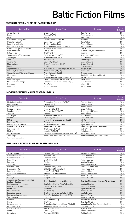## Baltic Fiction Films

#### **ESTONIAN FICTION FILMS RELEASED 2014-2016**

| <b>Original Title</b>         | <b>English Title</b>                   | <b>Director</b>                  | Year of<br><b>Release</b> |
|-------------------------------|----------------------------------------|----------------------------------|---------------------------|
| Ameerika suvi                 | <b>Chasing Ponies</b>                  | Rain Rannu                       | 2016                      |
| Bodom                         | Bodom (FI/EE)                          | Taneli Mustonen                  | 2016                      |
| Ema                           | Mother                                 | Kadri Kõusaar                    | 2016                      |
| Kallis õeke / Nong Hak        | Dearest Sister (LA/FR/EE)              | Mattie Do                        | 2016                      |
| Klassikokkutulek              | <b>Class Reunion (EE/FI)</b>           | René Vilbre                      | 2016                      |
| Luuraja ja luuletaja          | The Spy and the Poet                   | <b>Toomas Hussar</b>             | 2016                      |
| Önn tuleb magades             | When You Least Expect It (EE/IS)       | Mart Kivastik                    | 2016                      |
| Päevad, mis ajasid segadusse  | The Days that Confused                 | <b>Triin Ruumet</b>              | 2016                      |
| Perekonnavaled                | <b>Family Lies</b>                     | Valentin Kuik, Manfred Vainokivi | 2016                      |
| Polaarpoiss                   | The Polar Boy                          | Anu Aun                          | 2016                      |
| Senecos diena/ Seneka päev    | Seneca's Day (LT/LV/EE)                | Kristijonas Vildžijunas          | 2016                      |
| Teesklejad                    | Pretenders (EE/LV/LT)                  | Vallo Toomla                     | 2016                      |
| 1944                          | 1944 (EE/FI)                           | Elmo Nüganen                     | 2015                      |
| Ausma/Koit                    | Dawn (LV/PL/EE)                        | Laila Pakalnina                  | 2015                      |
| Must alpinist                 | <b>Ghost Mountaineer (EE/IT)</b>       | Urmas Eero Liiv                  | 2015                      |
| Roukli                        | Roukli                                 | Veiko Öunpuu                     | 2015                      |
| Supilinna salaselts           | The Secret Society of Souptown (EE/FI) | Margus Paju                      | 2015                      |
| Vehkleja / Miekkailija        | The Fencer (FI/EE/DE)                  | Klaus Härö                       | 2015                      |
| Vihane kunstnik/Sungnan Hwaga | Angry Painter (KR/EE)                  | Kyuhwan Jeon                     | 2015                      |
| Kirsitubakas                  | Cherry Tobacco                         | Katrin Maimik, Andres Maimik     | 2014                      |
| M.0.J.                        | The Man in the Orange Jacket (LV/EE)   | Aik Karapetian                   | 2014                      |
| Ma ei tule tagasi             | I Won't Come Back (EE/RU/FI/BL/KZ)     | Ilmar Raag                       | 2014                      |
| Maastik mitme kuuga           | Landscape with Many Moons (EE/FI)      | Jaan Toomik                      | 2014                      |
| Nullpunkt                     | Zero Point                             | Mihkel Ulk                       | 2014                      |
| Risttuules                    | In the Crosswind                       | Martti Helde                     | 2014                      |

#### **LATVIAN FICTION FILMS RELEASED 2014-2016**

| <b>Original Title</b> | <b>English Title</b>                      | <b>Director</b>                     | Year of<br>Release |
|-----------------------|-------------------------------------------|-------------------------------------|--------------------|
| Melānijas hronikas    | Chronicles of Melanie (LV/CZ/FI)          | Viesturs Kairišs                    | 2016               |
| Pelnu sanatorija      | Exiled (LV/LT)                            | Dāvis Sīmanis                       | 2016               |
| Es esmu šeit          | Mellow Mud                                | Renārs Vimba                        | 2016               |
| Karaliu pamaina       | Kings Shift (LT/LV)                       | Ignas Miškinis                      | 2016               |
| Senekos diena         | Seneca's Day (LT/LV/EE)                   | Kristijonas Vildžiunas              | 2016               |
| Svingeri              | Swingers                                  | Andrejs Ekis                        | 2016               |
| Teesklejad            | Pretenders (EE/LV/LT)                     | Vallo Toomla                        | 2016               |
| Ausma                 | Dawn (LV/EE/PL)                           | Laila Pakalnina                     | 2015               |
| $M.0.\check{Z}$ .     | Man in the Orange Jacket (LV/EE)          | Aik Karapetian                      | 2015               |
| Romeo un Džuljeta     | Romeo 'n Juliet                           | Māris Martinsons                    | 2015               |
| Akmeni manās kabatās  | Rocks in My Pockets (USA/LV)              | Signe Baumane                       | 2014               |
| Džimlai Rūdi Rallallā | Then It's Hi! Hi! Hee!                    | Māris Putninš, Jānis Cimermanis     | 2014               |
| Izlaiduma gads        | The Lesson (LV/RU)                        | Andris Gauja                        | 2014               |
| Modris                | Modris (LV/DE/GR)                         | Juris Kursietis                     | 2014               |
| OKI Okeāna vidū       | Oki - in the Middle of the Ocean (LV/USA) | Māris Martinsons                    | 2014               |
| Zelta zirgs*          | The Golden Horse (LV/LU/LT/DK)            | Reinis Kalnaellis, Valentas Aškinis | 2014               |

\* Feature length animated film

#### **LITHUANIAN FICTION FILMS RELEASED 2014-2016**

| <b>Original Title</b>                                    | <b>English Title</b>                  | <b>Director</b>                          | Year of<br><b>Release</b> |
|----------------------------------------------------------|---------------------------------------|------------------------------------------|---------------------------|
| Tarp mūsų berniukų                                       | Between Our Boys                      | Kestutis Gudavičius                      | 2016                      |
| Gautas iškvietimas                                       | <b>Received Call</b>                  | <b>Tadas Vidmantas</b>                   | 2016                      |
| Gautas iškvietimas 3                                     | Received Call 3                       | <b>Tadas Vidmantas</b>                   | 2016                      |
| 0, ne! 0, taip!                                          | Oh, No! Oh, Yes!                      | Julius Paulikas                          | 2016                      |
| Patriotai                                                | Patriots                              | Alvydas Šlepikas                         | 2016                      |
| 12 kėdžiu                                                | 12 chairs                             | Algis Ramanauskas                        | 2016                      |
| Senekos diena                                            | Seneca's Day (LT/LV/EE)               | Kristijonas Vildžiūnas                   | 2016                      |
| 2 naktys iki ryto                                        | 2 Nights Till Morning (LT/FI)         | Mikko Kuparinen                          | 2016                      |
| Karalių pamaina                                          | Kings Shift (LT/LV)                   | Ignas Miškinis                           | 2016                      |
| Nuo Lietuvos nepabėgsi                                   | You Can't Escape Lithuania            | Romas Zabarauskas                        | 2016                      |
| Gitel                                                    | Gitel                                 | <b>Robert Mullan</b>                     | 2016                      |
| Nepatyres                                                | Inexperienced                         | Julius Paulikas                          | 2015                      |
| Traukinio apiplėšimas, kurį įvykdė<br>Saulius ir Paulius | Train Heist by Saulius and Paulius    | Ričardas Marcinkus, Simonas Aškelavičius | 2015                      |
| Kunigo naudą velniai gaudo                               | Devils Caughts the Priest's Benefits  | Alvydas Šlepikas                         | 2015                      |
| Dėdė, Rokas ir Nida                                      | Uncle, Rokas and Nida                 | Justinas Krisiunas                       | 2015                      |
| Edeno sodas                                              | Garden Of Eden                        | Algimantas Puipa                         | 2015                      |
| Mes Dainuosim                                            | We Will Sing                          | Robert Mullan                            | 2015                      |
| Sangailės vasara                                         | The Summer of Sangaile (LT/FR/NL)     | Alanté Kavaïté                           | 2015                      |
| Ramybė mūsų sapnuose                                     | Peace To Us In Our Dreams (LT/FR)     | Šarūnas Bartas                           | 2015                      |
| Šventa Karvė                                             | Holy Cow                              | Donatas Ulvydas                          | 2014                      |
| Pakeliui                                                 | When You Wake Up                      | Ričardas Marcinkus                       | 2014                      |
| Rūsys                                                    | The Cellar                            | Ričardas Matačius                        | 2014                      |
| Gustavo nuotykiai                                        | Around the World on a Flying Windmill | Augustinas Gricius, Vaidas Lekavičius    | 2014                      |
| Valentinas už 2ru                                        | Valentinas Behind the Doors           | Evaldas Kubilius                         | 2014                      |
| Nesamasis laikas                                         | Non Present Time                      | Mykolas Vildžiūnas                       | 2014                      |
| Santa                                                    | Santa (LT/FI)                         | Marius Ivaškevičius                      | 2014                      |
| Už Lietuva!                                              | Redirected (LT/GB)                    | Emilis Vėlyvis                           | 2014                      |